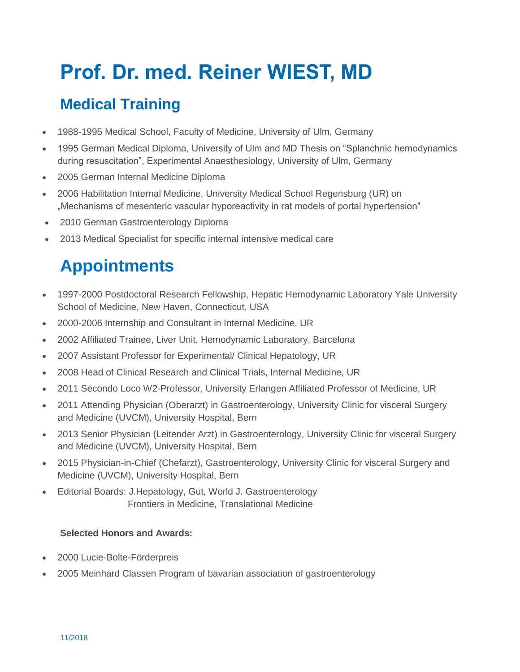# **Prof. Dr. med. Reiner WIEST, MD**

## **Medical Training**

- 1988-1995 Medical School, Faculty of Medicine, University of Ulm, Germany
- 1995 German Medical Diploma, University of Ulm and MD Thesis on "Splanchnic hemodynamics during resuscitation", Experimental Anaesthesiology, University of Ulm, Germany
- 2005 German Internal Medicine Diploma
- 2006 Habilitation Internal Medicine, University Medical School Regensburg (UR) on "Mechanisms of mesenteric vascular hyporeactivity in rat models of portal hypertension"
- 2010 German Gastroenterology Diploma
- 2013 Medical Specialist for specific internal intensive medical care

# **Appointments**

- 1997-2000 Postdoctoral Research Fellowship, Hepatic Hemodynamic Laboratory Yale University School of Medicine, New Haven, Connecticut, USA
- 2000-2006 Internship and Consultant in Internal Medicine, UR
- 2002 Affiliated Trainee, Liver Unit, Hemodynamic Laboratory, Barcelona
- 2007 Assistant Professor for Experimental/ Clinical Hepatology, UR
- 2008 Head of Clinical Research and Clinical Trials, Internal Medicine, UR
- 2011 Secondo Loco W2-Professor, University Erlangen Affiliated Professor of Medicine, UR
- 2011 Attending Physician (Oberarzt) in Gastroenterology, University Clinic for visceral Surgery and Medicine (UVCM), University Hospital, Bern
- 2013 Senior Physician (Leitender Arzt) in Gastroenterology, University Clinic for visceral Surgery and Medicine (UVCM), University Hospital, Bern
- 2015 Physician-in-Chief (Chefarzt), Gastroenterology, University Clinic for visceral Surgery and Medicine (UVCM), University Hospital, Bern
- Editorial Boards: J.Hepatology, Gut, World J. Gastroenterology Frontiers in Medicine, Translational Medicine

#### **Selected Honors and Awards:**

- 2000 Lucie-Bolte-Förderpreis
- 2005 Meinhard Classen Program of bavarian association of gastroenterology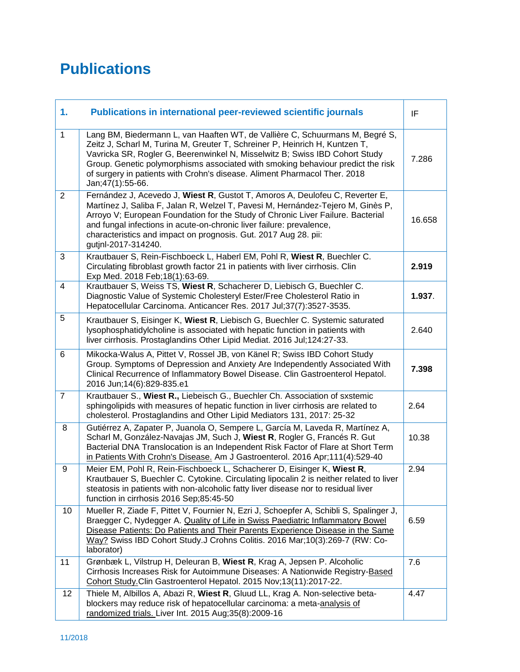### **Publications**

| 1.             | Publications in international peer-reviewed scientific journals                                                                                                                                                                                                                                                                                                                                                                | IF     |
|----------------|--------------------------------------------------------------------------------------------------------------------------------------------------------------------------------------------------------------------------------------------------------------------------------------------------------------------------------------------------------------------------------------------------------------------------------|--------|
| $\mathbf{1}$   | Lang BM, Biedermann L, van Haaften WT, de Vallière C, Schuurmans M, Begré S,<br>Zeitz J, Scharl M, Turina M, Greuter T, Schreiner P, Heinrich H, Kuntzen T,<br>Vavricka SR, Rogler G, Beerenwinkel N, Misselwitz B; Swiss IBD Cohort Study<br>Group. Genetic polymorphisms associated with smoking behaviour predict the risk<br>of surgery in patients with Crohn's disease. Aliment Pharmacol Ther. 2018<br>Jan;47(1):55-66. | 7.286  |
| 2              | Fernández J, Acevedo J, Wiest R, Gustot T, Amoros A, Deulofeu C, Reverter E,<br>Martínez J, Saliba F, Jalan R, Welzel T, Pavesi M, Hernández-Tejero M, Ginès P,<br>Arroyo V; European Foundation for the Study of Chronic Liver Failure. Bacterial<br>and fungal infections in acute-on-chronic liver failure: prevalence,<br>characteristics and impact on prognosis. Gut. 2017 Aug 28. pii:<br>gutjnl-2017-314240.           | 16.658 |
| 3              | Krautbauer S, Rein-Fischboeck L, Haberl EM, Pohl R, Wiest R, Buechler C.<br>Circulating fibroblast growth factor 21 in patients with liver cirrhosis. Clin<br>Exp Med. 2018 Feb;18(1):63-69.                                                                                                                                                                                                                                   | 2.919  |
| $\overline{4}$ | Krautbauer S, Weiss TS, Wiest R, Schacherer D, Liebisch G, Buechler C.<br>Diagnostic Value of Systemic Cholesteryl Ester/Free Cholesterol Ratio in<br>Hepatocellular Carcinoma. Anticancer Res. 2017 Jul;37(7):3527-3535.                                                                                                                                                                                                      | 1.937. |
| 5              | Krautbauer S, Eisinger K, Wiest R, Liebisch G, Buechler C. Systemic saturated<br>lysophosphatidylcholine is associated with hepatic function in patients with<br>liver cirrhosis. Prostaglandins Other Lipid Mediat. 2016 Jul; 124:27-33.                                                                                                                                                                                      | 2.640  |
| 6              | Mikocka-Walus A, Pittet V, Rossel JB, von Känel R; Swiss IBD Cohort Study<br>Group. Symptoms of Depression and Anxiety Are Independently Associated With<br>Clinical Recurrence of Inflammatory Bowel Disease. Clin Gastroenterol Hepatol.<br>2016 Jun;14(6):829-835.e1                                                                                                                                                        | 7.398  |
| $\overline{7}$ | Krautbauer S., Wiest R., Liebeisch G., Buechler Ch. Association of sxstemic<br>sphingolipids with measures of hepatic function in liver cirrhosis are related to<br>cholesterol. Prostaglandins and Other Lipid Mediators 131, 2017: 25-32                                                                                                                                                                                     | 2.64   |
| 8              | Gutiérrez A, Zapater P, Juanola O, Sempere L, García M, Laveda R, Martínez A,<br>Scharl M, González-Navajas JM, Such J, Wiest R, Rogler G, Francés R. Gut<br>Bacterial DNA Translocation is an Independent Risk Factor of Flare at Short Term<br>in Patients With Crohn's Disease. Am J Gastroenterol. 2016 Apr;111(4):529-40                                                                                                  | 10.38  |
| 9              | Meier EM, Pohl R, Rein-Fischboeck L, Schacherer D, Eisinger K, Wiest R,<br>Krautbauer S, Buechler C. Cytokine. Circulating lipocalin 2 is neither related to liver<br>steatosis in patients with non-alcoholic fatty liver disease nor to residual liver<br>function in cirrhosis 2016 Sep;85:45-50                                                                                                                            | 2.94   |
| 10             | Mueller R, Ziade F, Pittet V, Fournier N, Ezri J, Schoepfer A, Schibli S, Spalinger J,<br>Braegger C, Nydegger A. Quality of Life in Swiss Paediatric Inflammatory Bowel<br>Disease Patients: Do Patients and Their Parents Experience Disease in the Same<br>Way? Swiss IBD Cohort Study.J Crohns Colitis. 2016 Mar;10(3):269-7 (RW: Co-<br>laborator)                                                                        | 6.59   |
| 11             | Grønbæk L, Vilstrup H, Deleuran B, Wiest R, Krag A, Jepsen P. Alcoholic<br>Cirrhosis Increases Risk for Autoimmune Diseases: A Nationwide Registry-Based<br>Cohort Study.Clin Gastroenterol Hepatol. 2015 Nov;13(11):2017-22.                                                                                                                                                                                                  | 7.6    |
| 12             | Thiele M, Albillos A, Abazi R, Wiest R, Gluud LL, Krag A. Non-selective beta-<br>blockers may reduce risk of hepatocellular carcinoma: a meta-analysis of<br>randomized trials. Liver Int. 2015 Aug;35(8):2009-16                                                                                                                                                                                                              | 4.47   |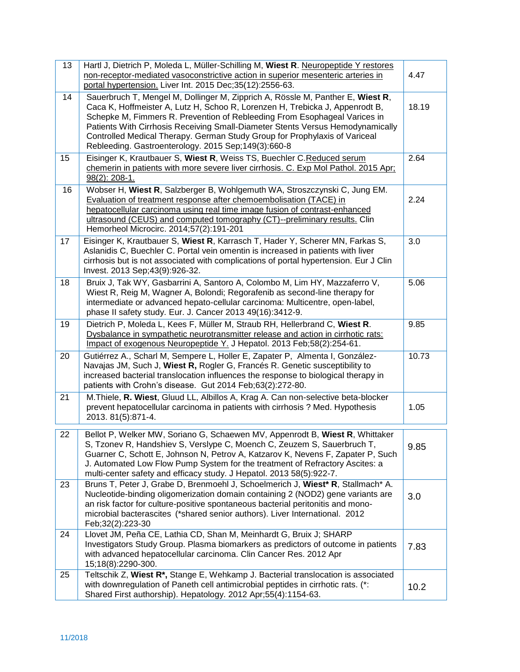| 13 | Hartl J, Dietrich P, Moleda L, Müller-Schilling M, Wiest R. Neuropeptide Y restores<br>non-receptor-mediated vasoconstrictive action in superior mesenteric arteries in<br>portal hypertension. Liver Int. 2015 Dec;35(12):2556-63.                                                                                                                                                                                                                                | 4.47  |
|----|--------------------------------------------------------------------------------------------------------------------------------------------------------------------------------------------------------------------------------------------------------------------------------------------------------------------------------------------------------------------------------------------------------------------------------------------------------------------|-------|
| 14 | Sauerbruch T, Mengel M, Dollinger M, Zipprich A, Rössle M, Panther E, Wiest R,<br>Caca K, Hoffmeister A, Lutz H, Schoo R, Lorenzen H, Trebicka J, Appenrodt B,<br>Schepke M, Fimmers R. Prevention of Rebleeding From Esophageal Varices in<br>Patients With Cirrhosis Receiving Small-Diameter Stents Versus Hemodynamically<br>Controlled Medical Therapy. German Study Group for Prophylaxis of Variceal<br>Rebleeding. Gastroenterology. 2015 Sep;149(3):660-8 | 18.19 |
| 15 | Eisinger K, Krautbauer S, Wiest R, Weiss TS, Buechler C.Reduced serum<br>chemerin in patients with more severe liver cirrhosis. C. Exp Mol Pathol. 2015 Apr;<br>98(2): 208-1.                                                                                                                                                                                                                                                                                      | 2.64  |
| 16 | Wobser H, Wiest R, Salzberger B, Wohlgemuth WA, Stroszczynski C, Jung EM.<br>Evaluation of treatment response after chemoembolisation (TACE) in<br>hepatocellular carcinoma using real time image fusion of contrast-enhanced<br>ultrasound (CEUS) and computed tomography (CT)--preliminary results. Clin<br>Hemorheol Microcirc. 2014;57(2):191-201                                                                                                              | 2.24  |
| 17 | Eisinger K, Krautbauer S, Wiest R, Karrasch T, Hader Y, Scherer MN, Farkas S,<br>Aslanidis C, Buechler C. Portal vein omentin is increased in patients with liver<br>cirrhosis but is not associated with complications of portal hypertension. Eur J Clin<br>Invest. 2013 Sep;43(9):926-32.                                                                                                                                                                       | 3.0   |
| 18 | Bruix J, Tak WY, Gasbarrini A, Santoro A, Colombo M, Lim HY, Mazzaferro V,<br>Wiest R, Reig M, Wagner A, Bolondi; Regorafenib as second-line therapy for<br>intermediate or advanced hepato-cellular carcinoma: Multicentre, open-label,<br>phase II safety study. Eur. J. Cancer 2013 49(16):3412-9.                                                                                                                                                              | 5.06  |
| 19 | Dietrich P, Moleda L, Kees F, Müller M, Straub RH, Hellerbrand C, Wiest R.<br>Dysbalance in sympathetic neurotransmitter release and action in cirrhotic rats:<br>Impact of exogenous Neuropeptide Y. J Hepatol. 2013 Feb;58(2):254-61.                                                                                                                                                                                                                            | 9.85  |
| 20 | Gutiérrez A., Scharl M, Sempere L, Holler E, Zapater P, Almenta I, González-<br>Navajas JM, Such J, Wiest R, Rogler G, Francés R. Genetic susceptibility to<br>increased bacterial translocation influences the response to biological therapy in<br>patients with Crohn's disease. Gut 2014 Feb;63(2):272-80.                                                                                                                                                     | 10.73 |
| 21 | M. Thiele, R. Wiest, Gluud LL, Albillos A, Krag A. Can non-selective beta-blocker<br>prevent hepatocellular carcinoma in patients with cirrhosis ? Med. Hypothesis<br>2013. 81(5):871-4.                                                                                                                                                                                                                                                                           | 1.05  |
| 22 | Bellot P, Welker MW, Soriano G, Schaewen MV, Appenrodt B, Wiest R, Whittaker<br>S, Tzonev R, Handshiev S, Verslype C, Moench C, Zeuzem S, Sauerbruch T,<br>Guarner C, Schott E, Johnson N, Petrov A, Katzarov K, Nevens F, Zapater P, Such<br>J. Automated Low Flow Pump System for the treatment of Refractory Ascites: a<br>multi-center safety and efficacy study. J Hepatol. 2013 58(5):922-7.                                                                 | 9.85  |
| 23 | Bruns T, Peter J, Grabe D, Brenmoehl J, Schoelmerich J, Wiest* R, Stallmach* A.<br>Nucleotide-binding oligomerization domain containing 2 (NOD2) gene variants are<br>an risk factor for culture-positive spontaneous bacterial peritonitis and mono-<br>microbial bacterascites (*shared senior authors). Liver International. 2012<br>Feb; 32(2): 223-30                                                                                                         | 3.0   |
| 24 | Llovet JM, Peña CE, Lathia CD, Shan M, Meinhardt G, Bruix J; SHARP<br>Investigators Study Group. Plasma biomarkers as predictors of outcome in patients<br>with advanced hepatocellular carcinoma. Clin Cancer Res. 2012 Apr<br>15;18(8):2290-300.                                                                                                                                                                                                                 | 7.83  |
| 25 | Teltschik Z, Wiest R*, Stange E, Wehkamp J. Bacterial translocation is associated<br>with downregulation of Paneth cell antimicrobial peptides in cirrhotic rats. (*:<br>Shared First authorship). Hepatology. 2012 Apr;55(4):1154-63.                                                                                                                                                                                                                             | 10.2  |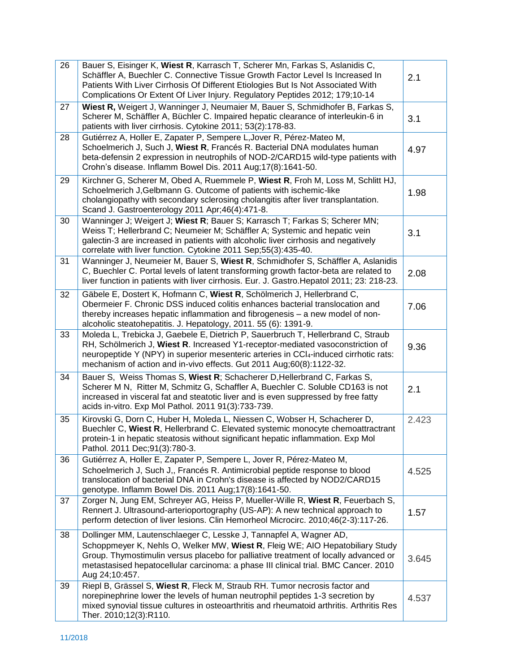| 26 | Bauer S, Eisinger K, Wiest R, Karrasch T, Scherer Mn, Farkas S, Aslanidis C,<br>Schäffler A, Buechler C. Connective Tissue Growth Factor Level Is Increased In<br>Patients With Liver Cirrhosis Of Different Etiologies But Is Not Associated With<br>Complications Or Extent Of Liver Injury. Regulatory Peptides 2012; 179;10-14                  | 2.1   |
|----|-----------------------------------------------------------------------------------------------------------------------------------------------------------------------------------------------------------------------------------------------------------------------------------------------------------------------------------------------------|-------|
| 27 | Wiest R, Weigert J, Wanninger J, Neumaier M, Bauer S, Schmidhofer B, Farkas S,<br>Scherer M, Schäffler A, Büchler C. Impaired hepatic clearance of interleukin-6 in<br>patients with liver cirrhosis. Cytokine 2011; 53(2):178-83.                                                                                                                  | 3.1   |
| 28 | Gutiérrez A, Holler E, Zapater P, Sempere L, Jover R, Pérez-Mateo M,<br>Schoelmerich J, Such J, Wiest R, Francés R. Bacterial DNA modulates human<br>beta-defensin 2 expression in neutrophils of NOD-2/CARD15 wild-type patients with<br>Crohn's disease. Inflamm Bowel Dis. 2011 Aug;17(8):1641-50.                                               | 4.97  |
| 29 | Kirchner G, Scherer M, Obed A, Ruemmele P, Wiest R, Froh M, Loss M, Schlitt HJ,<br>Schoelmerich J, Gelbmann G. Outcome of patients with ischemic-like<br>cholangiopathy with secondary sclerosing cholangitis after liver transplantation.<br>Scand J. Gastroenterology 2011 Apr; 46(4): 471-8.                                                     | 1.98  |
| 30 | Wanninger J; Weigert J; Wiest R; Bauer S; Karrasch T; Farkas S; Scherer MN;<br>Weiss T; Hellerbrand C; Neumeier M; Schäffler A; Systemic and hepatic vein<br>galectin-3 are increased in patients with alcoholic liver cirrhosis and negatively<br>correlate with liver function. Cytokine 2011 Sep;55(3):435-40.                                   | 3.1   |
| 31 | Wanninger J, Neumeier M, Bauer S, Wiest R, Schmidhofer S, Schäffler A, Aslanidis<br>C, Buechler C. Portal levels of latent transforming growth factor-beta are related to<br>liver function in patients with liver cirrhosis. Eur. J. Gastro. Hepatol 2011; 23: 218-23.                                                                             | 2.08  |
| 32 | Gäbele E, Dostert K, Hofmann C, Wiest R, Schölmerich J, Hellerbrand C,<br>Obermeier F. Chronic DSS induced colitis enhances bacterial translocation and<br>thereby increases hepatic inflammation and fibrogenesis - a new model of non-<br>alcoholic steatohepatitis. J. Hepatology, 2011. 55 (6): 1391-9.                                         | 7.06  |
| 33 | Moleda L, Trebicka J, Gaebele E, Dietrich P, Sauerbruch T, Hellerbrand C, Straub<br>RH, Schölmerich J, Wiest R. Increased Y1-receptor-mediated vasoconstriction of<br>neuropeptide Y (NPY) in superior mesenteric arteries in CCl <sub>4</sub> -induced cirrhotic rats:<br>mechanism of action and in-vivo effects. Gut 2011 Aug;60(8):1122-32.     | 9.36  |
| 34 | Bauer S, Weiss Thomas S, Wiest R; Schacherer D, Hellerbrand C, Farkas S,<br>Scherer M N, Ritter M, Schmitz G, Schaffler A, Buechler C. Soluble CD163 is not<br>increased in visceral fat and steatotic liver and is even suppressed by free fatty<br>acids in-vitro. Exp Mol Pathol. 2011 91(3):733-739.                                            | 2.1   |
| 35 | Kirovski G, Dorn C, Huber H, Moleda L, Niessen C, Wobser H, Schacherer D,<br>Buechler C, Wiest R, Hellerbrand C. Elevated systemic monocyte chemoattractrant<br>protein-1 in hepatic steatosis without significant hepatic inflammation. Exp Mol<br>Pathol. 2011 Dec; 91(3): 780-3.                                                                 | 2.423 |
| 36 | Gutiérrez A, Holler E, Zapater P, Sempere L, Jover R, Pérez-Mateo M,<br>Schoelmerich J, Such J,, Francés R. Antimicrobial peptide response to blood<br>translocation of bacterial DNA in Crohn's disease is affected by NOD2/CARD15<br>genotype. Inflamm Bowel Dis. 2011 Aug; 17(8): 1641-50.                                                       | 4.525 |
| 37 | Zorger N, Jung EM, Schreyer AG, Heiss P, Mueller-Wille R, Wiest R, Feuerbach S,<br>Rennert J. Ultrasound-arterioportography (US-AP): A new technical approach to<br>perform detection of liver lesions. Clin Hemorheol Microcirc. 2010;46(2-3):117-26.                                                                                              | 1.57  |
| 38 | Dollinger MM, Lautenschlaeger C, Lesske J, Tannapfel A, Wagner AD,<br>Schoppmeyer K, Nehls O, Welker MW, Wiest R, Fleig WE; AIO Hepatobiliary Study<br>Group. Thymostimulin versus placebo for palliative treatment of locally advanced or<br>metastasised hepatocellular carcinoma: a phase III clinical trial. BMC Cancer. 2010<br>Aug 24;10:457. | 3.645 |
| 39 | Riepl B, Grässel S, Wiest R, Fleck M, Straub RH. Tumor necrosis factor and<br>norepinephrine lower the levels of human neutrophil peptides 1-3 secretion by<br>mixed synovial tissue cultures in osteoarthritis and rheumatoid arthritis. Arthritis Res<br>Ther. 2010;12(3):R110.                                                                   | 4.537 |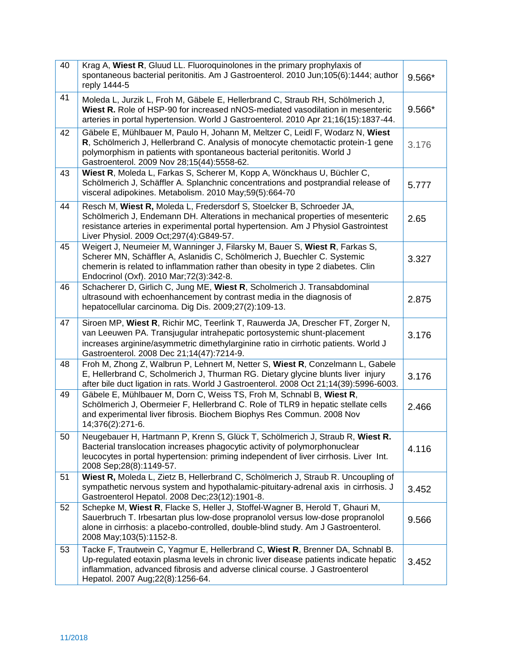| 40 | Krag A, Wiest R, Gluud LL. Fluoroquinolones in the primary prophylaxis of<br>spontaneous bacterial peritonitis. Am J Gastroenterol. 2010 Jun;105(6):1444; author<br>reply 1444-5                                                                                                              | 9.566* |
|----|-----------------------------------------------------------------------------------------------------------------------------------------------------------------------------------------------------------------------------------------------------------------------------------------------|--------|
| 41 | Moleda L, Jurzik L, Froh M, Gäbele E, Hellerbrand C, Straub RH, Schölmerich J,<br>Wiest R. Role of HSP-90 for increased nNOS-mediated vasodilation in mesenteric<br>arteries in portal hypertension. World J Gastroenterol. 2010 Apr 21;16(15):1837-44.                                       | 9.566* |
| 42 | Gäbele E, Mühlbauer M, Paulo H, Johann M, Meltzer C, Leidl F, Wodarz N, Wiest<br>R, Schölmerich J, Hellerbrand C. Analysis of monocyte chemotactic protein-1 gene<br>polymorphism in patients with spontaneous bacterial peritonitis. World J<br>Gastroenterol. 2009 Nov 28;15(44):5558-62.   | 3.176  |
| 43 | Wiest R, Moleda L, Farkas S, Scherer M, Kopp A, Wönckhaus U, Büchler C,<br>Schölmerich J, Schäffler A. Splanchnic concentrations and postprandial release of<br>visceral adipokines. Metabolism. 2010 May;59(5):664-70                                                                        | 5.777  |
| 44 | Resch M, Wiest R, Moleda L, Fredersdorf S, Stoelcker B, Schroeder JA,<br>Schölmerich J, Endemann DH. Alterations in mechanical properties of mesenteric<br>resistance arteries in experimental portal hypertension. Am J Physiol Gastrointest<br>Liver Physiol. 2009 Oct; 297(4): G849-57.    | 2.65   |
| 45 | Weigert J, Neumeier M, Wanninger J, Filarsky M, Bauer S, Wiest R, Farkas S,<br>Scherer MN, Schäffler A, Aslanidis C, Schölmerich J, Buechler C. Systemic<br>chemerin is related to inflammation rather than obesity in type 2 diabetes. Clin<br>Endocrinol (Oxf). 2010 Mar; 72(3): 342-8.     | 3.327  |
| 46 | Schacherer D, Girlich C, Jung ME, Wiest R, Scholmerich J. Transabdominal<br>ultrasound with echoenhancement by contrast media in the diagnosis of<br>hepatocellular carcinoma. Dig Dis. 2009;27(2):109-13.                                                                                    | 2.875  |
| 47 | Siroen MP, Wiest R, Richir MC, Teerlink T, Rauwerda JA, Drescher FT, Zorger N,<br>van Leeuwen PA. Transjugular intrahepatic portosystemic shunt-placement<br>increases arginine/asymmetric dimethylarginine ratio in cirrhotic patients. World J<br>Gastroenterol. 2008 Dec 21;14(47):7214-9. | 3.176  |
| 48 | Froh M, Zhong Z, Walbrun P, Lehnert M, Netter S, Wiest R, Conzelmann L, Gabele<br>E, Hellerbrand C, Scholmerich J, Thurman RG. Dietary glycine blunts liver injury<br>after bile duct ligation in rats. World J Gastroenterol. 2008 Oct 21;14(39):5996-6003.                                  | 3.176  |
| 49 | Gäbele E, Mühlbauer M, Dorn C, Weiss TS, Froh M, Schnabl B, Wiest R,<br>Schölmerich J, Obermeier F, Hellerbrand C. Role of TLR9 in hepatic stellate cells<br>and experimental liver fibrosis. Biochem Biophys Res Commun. 2008 Nov<br>14;376(2):271-6.                                        | 2.466  |
| 50 | Neugebauer H, Hartmann P, Krenn S, Glück T, Schölmerich J, Straub R, Wiest R.<br>Bacterial translocation increases phagocytic activity of polymorphonuclear<br>leucocytes in portal hypertension: priming independent of liver cirrhosis. Liver Int.<br>2008 Sep; 28(8): 1149-57.             | 4.116  |
| 51 | Wiest R, Moleda L, Zietz B, Hellerbrand C, Schölmerich J, Straub R. Uncoupling of<br>sympathetic nervous system and hypothalamic-pituitary-adrenal axis in cirrhosis. J<br>Gastroenterol Hepatol. 2008 Dec; 23(12): 1901-8.                                                                   | 3.452  |
| 52 | Schepke M, Wiest R, Flacke S, Heller J, Stoffel-Wagner B, Herold T, Ghauri M,<br>Sauerbruch T. Irbesartan plus low-dose propranolol versus low-dose propranolol<br>alone in cirrhosis: a placebo-controlled, double-blind study. Am J Gastroenterol.<br>2008 May; 103(5): 1152-8.             | 9.566  |
| 53 | Tacke F, Trautwein C, Yagmur E, Hellerbrand C, Wiest R, Brenner DA, Schnabl B.<br>Up-regulated eotaxin plasma levels in chronic liver disease patients indicate hepatic<br>inflammation, advanced fibrosis and adverse clinical course. J Gastroenterol<br>Hepatol. 2007 Aug; 22(8): 1256-64. | 3.452  |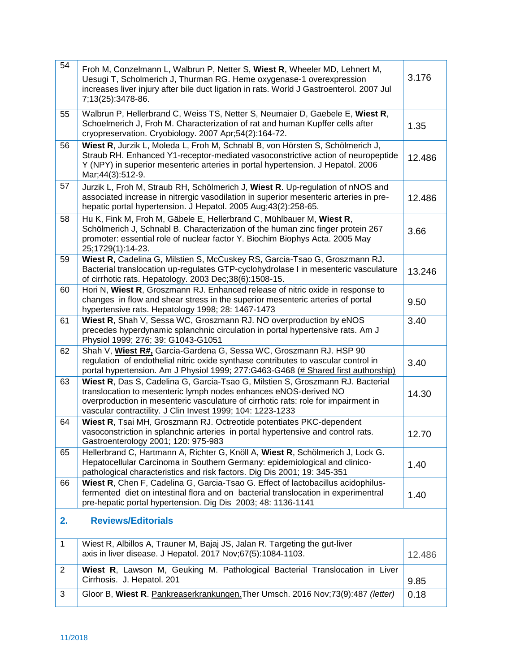| 54           | Froh M, Conzelmann L, Walbrun P, Netter S, Wiest R, Wheeler MD, Lehnert M,<br>Uesugi T, Scholmerich J, Thurman RG. Heme oxygenase-1 overexpression<br>increases liver injury after bile duct ligation in rats. World J Gastroenterol. 2007 Jul<br>7;13(25):3478-86.                                    | 3.176  |
|--------------|--------------------------------------------------------------------------------------------------------------------------------------------------------------------------------------------------------------------------------------------------------------------------------------------------------|--------|
| 55           | Walbrun P, Hellerbrand C, Weiss TS, Netter S, Neumaier D, Gaebele E, Wiest R,<br>Schoelmerich J, Froh M. Characterization of rat and human Kupffer cells after<br>cryopreservation. Cryobiology. 2007 Apr;54(2):164-72.                                                                                | 1.35   |
| 56           | Wiest R, Jurzik L, Moleda L, Froh M, Schnabl B, von Hörsten S, Schölmerich J,<br>Straub RH. Enhanced Y1-receptor-mediated vasoconstrictive action of neuropeptide<br>Y (NPY) in superior mesenteric arteries in portal hypertension. J Hepatol. 2006<br>Mar;44(3):512-9.                               | 12.486 |
| 57           | Jurzik L, Froh M, Straub RH, Schölmerich J, Wiest R. Up-regulation of nNOS and<br>associated increase in nitrergic vasodilation in superior mesenteric arteries in pre-<br>hepatic portal hypertension. J Hepatol. 2005 Aug;43(2):258-65.                                                              | 12.486 |
| 58           | Hu K, Fink M, Froh M, Gäbele E, Hellerbrand C, Mühlbauer M, Wiest R,<br>Schölmerich J, Schnabl B. Characterization of the human zinc finger protein 267<br>promoter: essential role of nuclear factor Y. Biochim Biophys Acta. 2005 May<br>25;1729(1):14-23.                                           | 3.66   |
| 59           | Wiest R, Cadelina G, Milstien S, McCuskey RS, Garcia-Tsao G, Groszmann RJ.<br>Bacterial translocation up-regulates GTP-cyclohydrolase I in mesenteric vasculature<br>of cirrhotic rats. Hepatology. 2003 Dec;38(6):1508-15.                                                                            | 13.246 |
| 60           | Hori N, Wiest R, Groszmann RJ. Enhanced release of nitric oxide in response to<br>changes in flow and shear stress in the superior mesenteric arteries of portal<br>hypertensive rats. Hepatology 1998; 28: 1467-1473                                                                                  | 9.50   |
| 61           | Wiest R, Shah V, Sessa WC, Groszmann RJ. NO overproduction by eNOS<br>precedes hyperdynamic splanchnic circulation in portal hypertensive rats. Am J<br>Physiol 1999; 276; 39: G1043-G1051                                                                                                             | 3.40   |
| 62           | Shah V, Wiest R#, Garcia-Gardena G, Sessa WC, Groszmann RJ. HSP 90<br>regulation of endothelial nitric oxide synthase contributes to vascular control in<br>portal hypertension. Am J Physiol 1999; 277:G463-G468 (# Shared first authorship)                                                          | 3.40   |
| 63           | Wiest R, Das S, Cadelina G, Garcia-Tsao G, Milstien S, Groszmann RJ. Bacterial<br>translocation to mesenteric lymph nodes enhances eNOS-derived NO<br>overproduction in mesenteric vasculature of cirrhotic rats: role for impairment in<br>vascular contractility. J Clin Invest 1999; 104: 1223-1233 | 14.30  |
| 64           | Wiest R, Tsai MH, Groszmann RJ. Octreotide potentiates PKC-dependent<br>vasoconstriction in splanchnic arteries in portal hypertensive and control rats.<br>Gastroenterology 2001; 120: 975-983                                                                                                        | 12.70  |
| 65           | Hellerbrand C, Hartmann A, Richter G, Knöll A, Wiest R, Schölmerich J, Lock G.<br>Hepatocellular Carcinoma in Southern Germany: epidemiological and clinico-<br>pathological characteristics and risk factors. Dig Dis 2001; 19: 345-351                                                               | 1.40   |
| 66           | Wiest R, Chen F, Cadelina G, Garcia-Tsao G. Effect of lactobacillus acidophilus-<br>fermented diet on intestinal flora and on bacterial translocation in experimentral<br>pre-hepatic portal hypertension. Dig Dis 2003; 48: 1136-1141                                                                 | 1.40   |
| 2.           | <b>Reviews/Editorials</b>                                                                                                                                                                                                                                                                              |        |
| $\mathbf{1}$ | Wiest R, Albillos A, Trauner M, Bajaj JS, Jalan R. Targeting the gut-liver<br>axis in liver disease. J Hepatol. 2017 Nov;67(5):1084-1103.                                                                                                                                                              | 12.486 |
| 2            | Wiest R, Lawson M, Geuking M. Pathological Bacterial Translocation in Liver<br>Cirrhosis. J. Hepatol. 201                                                                                                                                                                                              | 9.85   |
| 3            | Gloor B, Wiest R. Pankreaserkrankungen. Ther Umsch. 2016 Nov;73(9):487 (letter)                                                                                                                                                                                                                        | 0.18   |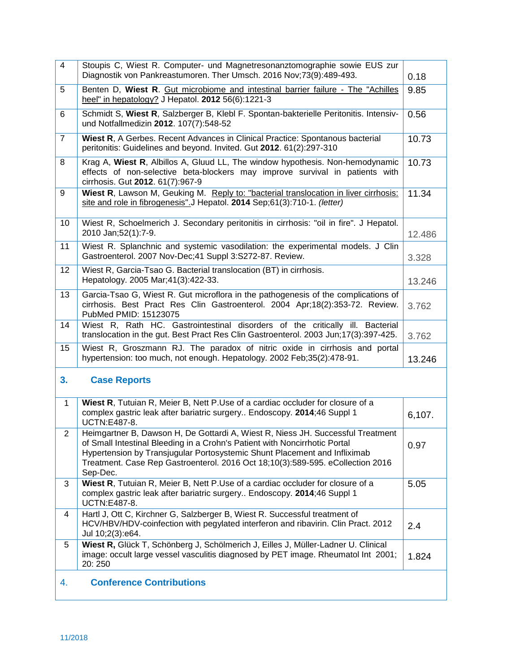| $\overline{4}$ | Stoupis C, Wiest R. Computer- und Magnetresonanztomographie sowie EUS zur<br>Diagnostik von Pankreastumoren. Ther Umsch. 2016 Nov;73(9):489-493.                                                                                                                                                                                         | 0.18   |
|----------------|------------------------------------------------------------------------------------------------------------------------------------------------------------------------------------------------------------------------------------------------------------------------------------------------------------------------------------------|--------|
| 5              | Benten D, Wiest R. Gut microbiome and intestinal barrier failure - The "Achilles<br>heel" in hepatology? J Hepatol. 2012 56(6):1221-3                                                                                                                                                                                                    | 9.85   |
| 6              | Schmidt S, Wiest R, Salzberger B, Klebl F. Spontan-bakterielle Peritonitis. Intensiv-<br>und Notfallmedizin 2012. 107(7):548-52                                                                                                                                                                                                          | 0.56   |
| $\overline{7}$ | Wiest R, A Gerbes. Recent Advances in Clinical Practice: Spontanous bacterial<br>peritonitis: Guidelines and beyond. Invited. Gut 2012. 61(2):297-310                                                                                                                                                                                    | 10.73  |
| 8              | Krag A, Wiest R, Albillos A, Gluud LL, The window hypothesis. Non-hemodynamic<br>effects of non-selective beta-blockers may improve survival in patients with<br>cirrhosis. Gut 2012. 61(7):967-9                                                                                                                                        | 10.73  |
| 9              | Wiest R, Lawson M, Geuking M. Reply to: "bacterial translocation in liver cirrhosis:<br>site and role in fibrogenesis".J Hepatol. 2014 Sep;61(3):710-1. (letter)                                                                                                                                                                         | 11.34  |
| 10             | Wiest R, Schoelmerich J. Secondary peritonitis in cirrhosis: "oil in fire". J Hepatol.<br>2010 Jan; 52(1): 7-9.                                                                                                                                                                                                                          | 12.486 |
| 11             | Wiest R. Splanchnic and systemic vasodilation: the experimental models. J Clin<br>Gastroenterol. 2007 Nov-Dec; 41 Suppl 3:S272-87. Review.                                                                                                                                                                                               | 3.328  |
| 12             | Wiest R, Garcia-Tsao G. Bacterial translocation (BT) in cirrhosis.<br>Hepatology. 2005 Mar; 41(3): 422-33.                                                                                                                                                                                                                               | 13.246 |
| 13             | Garcia-Tsao G, Wiest R. Gut microflora in the pathogenesis of the complications of<br>cirrhosis. Best Pract Res Clin Gastroenterol. 2004 Apr;18(2):353-72. Review.<br>PubMed PMID: 15123075                                                                                                                                              | 3.762  |
| 14             | Wiest R, Rath HC. Gastrointestinal disorders of the critically ill. Bacterial<br>translocation in the gut. Best Pract Res Clin Gastroenterol. 2003 Jun; 17(3):397-425.                                                                                                                                                                   | 3.762  |
| 15             | Wiest R, Groszmann RJ. The paradox of nitric oxide in cirrhosis and portal<br>hypertension: too much, not enough. Hepatology. 2002 Feb;35(2):478-91.                                                                                                                                                                                     | 13.246 |
| 3.             | <b>Case Reports</b>                                                                                                                                                                                                                                                                                                                      |        |
| $\mathbf{1}$   | Wiest R, Tutuian R, Meier B, Nett P.Use of a cardiac occluder for closure of a<br>complex gastric leak after bariatric surgery Endoscopy. 2014;46 Suppl 1<br>UCTN:E487-8.                                                                                                                                                                | 6,107. |
| $\overline{2}$ | Heimgartner B, Dawson H, De Gottardi A, Wiest R, Niess JH. Successful Treatment<br>of Small Intestinal Bleeding in a Crohn's Patient with Noncirrhotic Portal<br>Hypertension by Transjugular Portosystemic Shunt Placement and Infliximab<br>Treatment. Case Rep Gastroenterol. 2016 Oct 18;10(3):589-595. eCollection 2016<br>Sep-Dec. | 0.97   |
| 3              | Wiest R, Tutuian R, Meier B, Nett P.Use of a cardiac occluder for closure of a<br>complex gastric leak after bariatric surgery Endoscopy. 2014;46 Suppl 1<br><b>UCTN:E487-8.</b>                                                                                                                                                         | 5.05   |
| 4              | Hartl J, Ott C, Kirchner G, Salzberger B, Wiest R. Successful treatment of<br>HCV/HBV/HDV-coinfection with pegylated interferon and ribavirin. Clin Pract. 2012<br>Jul 10;2(3):e64.                                                                                                                                                      | 2.4    |
| 5              | Wiest R, Glück T, Schönberg J, Schölmerich J, Eilles J, Müller-Ladner U. Clinical<br>image: occult large vessel vasculitis diagnosed by PET image. Rheumatol Int 2001;<br>20:250                                                                                                                                                         | 1.824  |
| 4.             | <b>Conference Contributions</b>                                                                                                                                                                                                                                                                                                          |        |